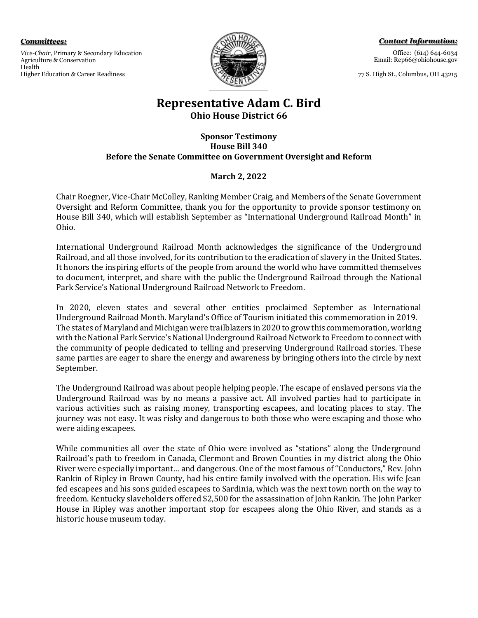*Committees:* 

*Vice-Chair*, Primary & Secondary Education Agriculture & Conservation Health Higher Education & Career Readiness



*Contact Information:* Office: (614) 644-6034 Email: Rep66@ohiohouse.gov

77 S. High St., Columbus, OH 43215

## **Representative Adam C. Bird Ohio House District 66**

#### **Sponsor Testimony House Bill 340 Before the Senate Committee on Government Oversight and Reform**

### **March 2, 2022**

Chair Roegner, Vice-Chair McColley, Ranking Member Craig, and Members of the Senate Government Oversight and Reform Committee, thank you for the opportunity to provide sponsor testimony on House Bill 340, which will establish September as "International Underground Railroad Month" in Ohio.

International Underground Railroad Month acknowledges the significance of the Underground Railroad, and all those involved, for its contribution to the eradication of slavery in the United States. It honors the inspiring efforts of the people from around the world who have committed themselves to document, interpret, and share with the public the Underground Railroad through the National Park Service's National Underground Railroad Network to Freedom.

In 2020, eleven states and several other entities proclaimed September as International Underground Railroad Month. Maryland's Office of Tourism initiated this commemoration in 2019. The states of Maryland and Michigan were trailblazers in 2020 to grow this commemoration, working with the National Park Service's National Underground Railroad Network to Freedom to connect with the community of people dedicated to telling and preserving Underground Railroad stories. These same parties are eager to share the energy and awareness by bringing others into the circle by next September.

The Underground Railroad was about people helping people. The escape of enslaved persons via the Underground Railroad was by no means a passive act. All involved parties had to participate in various activities such as raising money, transporting escapees, and locating places to stay. The journey was not easy. It was risky and dangerous to both those who were escaping and those who were aiding escapees.

While communities all over the state of Ohio were involved as "stations" along the Underground Railroad's path to freedom in Canada, Clermont and Brown Counties in my district along the Ohio River were especially important… and dangerous. One of the most famous of "Conductors," Rev. John Rankin of Ripley in Brown County, had his entire family involved with the operation. His wife Jean fed escapees and his sons guided escapees to Sardinia, which was the next town north on the way to freedom. Kentucky slaveholders offered \$2,500 for the assassination of John Rankin. The John Parker House in Ripley was another important stop for escapees along the Ohio River, and stands as a historic house museum today.